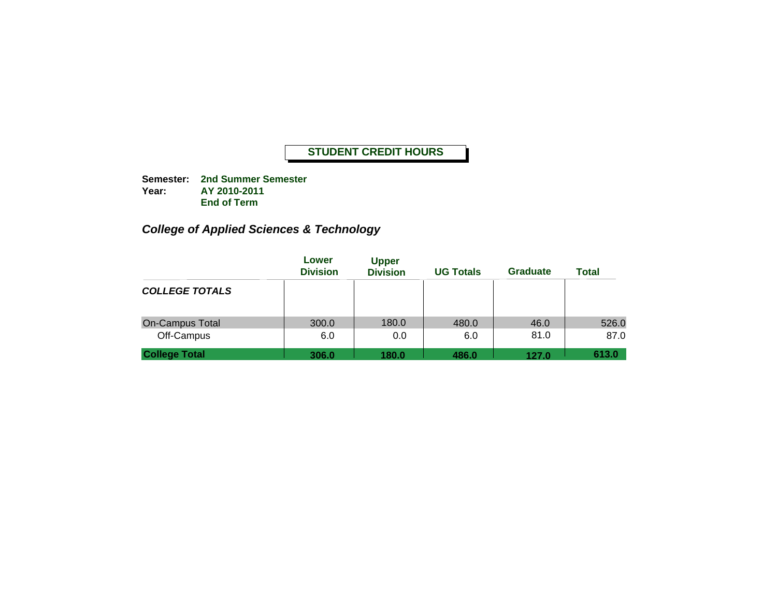**Semester: 2nd Summer Semester Year: AY 2010-2011 End of Term**

# *College of Applied Sciences & Technology*

|                                      | Lower<br><b>Division</b> | <b>Upper</b><br><b>Division</b> | <b>UG Totals</b> | <b>Graduate</b> | <b>Total</b>  |
|--------------------------------------|--------------------------|---------------------------------|------------------|-----------------|---------------|
| <b>COLLEGE TOTALS</b>                |                          |                                 |                  |                 |               |
| <b>On-Campus Total</b><br>Off-Campus | 300.0<br>6.0             | 180.0<br>0.0                    | 480.0<br>6.0     | 46.0<br>81.0    | 526.0<br>87.0 |
| <b>College Total</b>                 | 306.0                    | 180.0                           | 486.0            | 127.0           | 613.0         |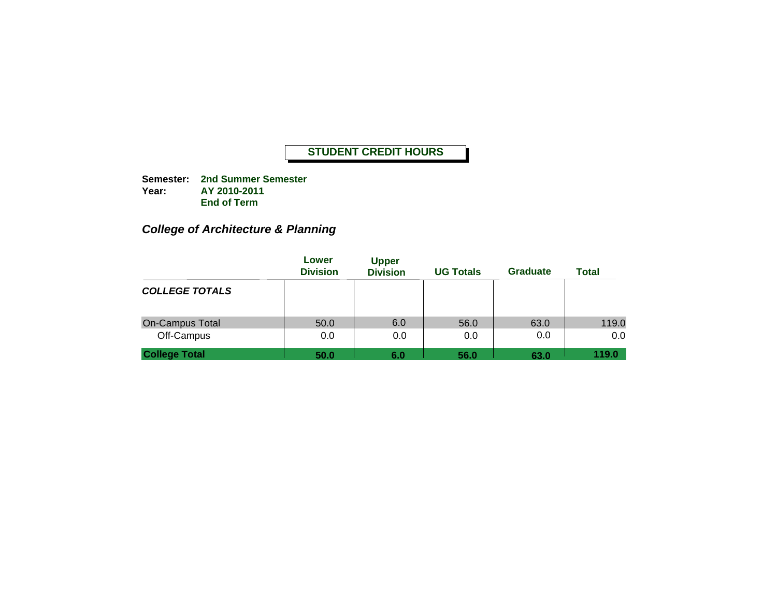**Semester: 2nd Summer Semester Year: AY 2010-2011 End of Term**

### *College of Architecture & Planning*

|                                      | Lower<br><b>Division</b> | <b>Upper</b><br><b>Division</b> | <b>UG Totals</b> | <b>Graduate</b> | <b>Total</b> |
|--------------------------------------|--------------------------|---------------------------------|------------------|-----------------|--------------|
| <b>COLLEGE TOTALS</b>                |                          |                                 |                  |                 |              |
| <b>On-Campus Total</b><br>Off-Campus | 50.0<br>0.0              | 6.0<br>0.0                      | 56.0<br>0.0      | 63.0<br>0.0     | 119.0<br>0.0 |
| <b>College Total</b>                 | 50.0                     | 6.0                             | 56.0             | 63.0            | 119.0        |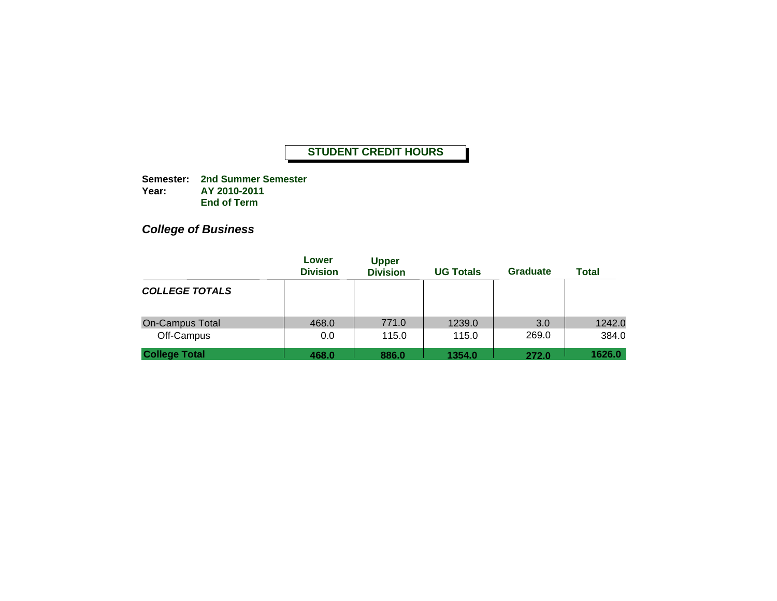**Semester: 2nd Summer Semester Year: AY 2010-2011 End of Term**

## *College of Business*

|                                      | Lower<br><b>Division</b> | <b>Upper</b><br><b>Division</b> | <b>UG Totals</b> | Graduate     | <b>Total</b>    |
|--------------------------------------|--------------------------|---------------------------------|------------------|--------------|-----------------|
| <b>COLLEGE TOTALS</b>                |                          |                                 |                  |              |                 |
| <b>On-Campus Total</b><br>Off-Campus | 468.0<br>0.0             | 771.0<br>115.0                  | 1239.0<br>115.0  | 3.0<br>269.0 | 1242.0<br>384.0 |
| <b>College Total</b>                 | 468.0                    | 886.0                           | 1354.0           | 272.0        | 1626.0          |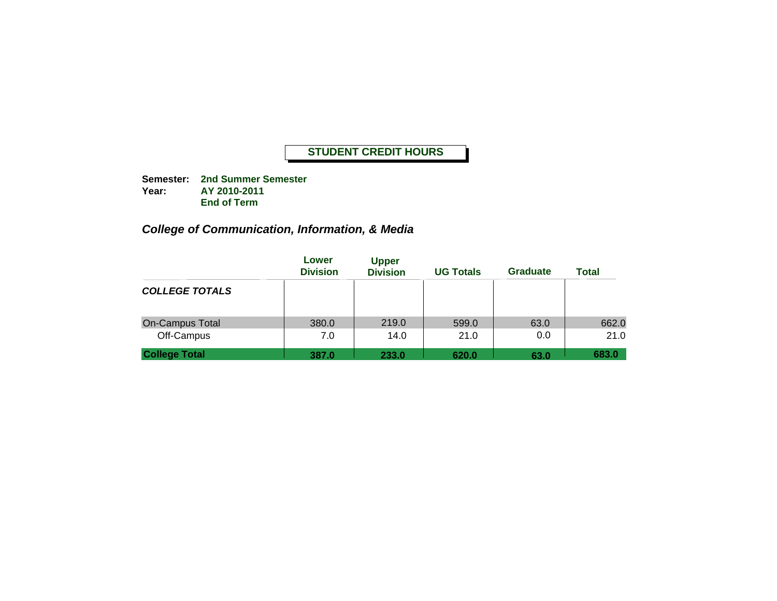**Semester: 2nd Summer Semester Year: AY 2010-2011 End of Term**

### *College of Communication, Information, & Media*

|                                      | Lower<br><b>Division</b> | <b>Upper</b><br><b>Division</b> | <b>UG Totals</b> | <b>Graduate</b> | <b>Total</b>  |
|--------------------------------------|--------------------------|---------------------------------|------------------|-----------------|---------------|
| <b>COLLEGE TOTALS</b>                |                          |                                 |                  |                 |               |
| <b>On-Campus Total</b><br>Off-Campus | 380.0<br>7.0             | 219.0<br>14.0                   | 599.0<br>21.0    | 63.0<br>0.0     | 662.0<br>21.0 |
| <b>College Total</b>                 | 387.0                    | 233.0                           | 620.0            | 63.0            | 683.0         |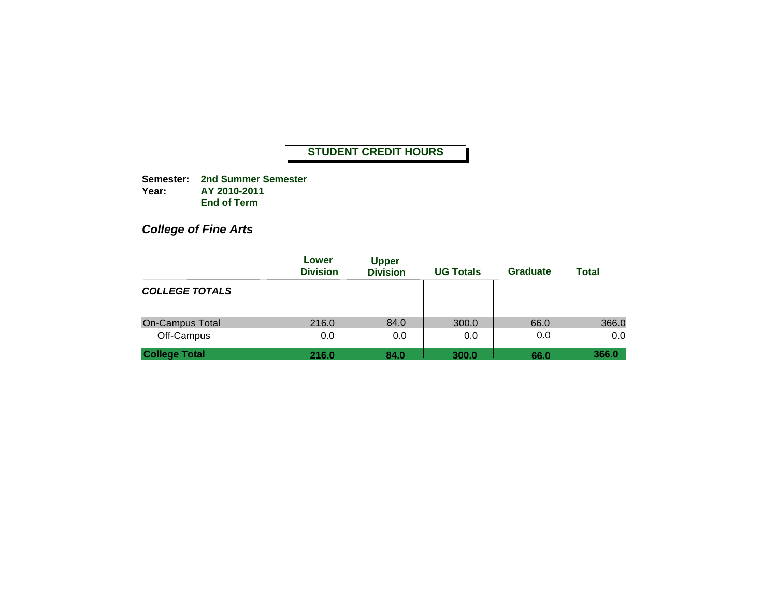**Semester: 2nd Summer Semester Year: AY 2010-2011 End of Term**

*College of Fine Arts*

|                                      | Lower<br><b>Division</b> | <b>Upper</b><br><b>Division</b> | <b>UG Totals</b> | Graduate    | <b>Total</b> |
|--------------------------------------|--------------------------|---------------------------------|------------------|-------------|--------------|
| <b>COLLEGE TOTALS</b>                |                          |                                 |                  |             |              |
| <b>On-Campus Total</b><br>Off-Campus | 216.0<br>0.0             | 84.0<br>0.0                     | 300.0<br>0.0     | 66.0<br>0.0 | 366.0<br>0.0 |
| <b>College Total</b>                 | 216.0                    | 84.0                            | 300.0            | 66.0        | 366.0        |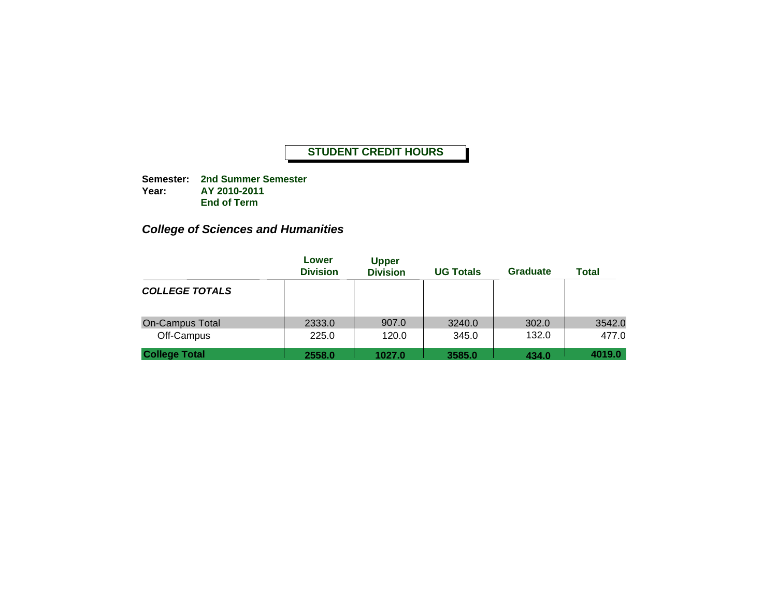**Semester: 2nd Summer Semester Year: AY 2010-2011 End of Term**

### *College of Sciences and Humanities*

|                                      | Lower<br><b>Division</b> | <b>Upper</b><br><b>Division</b> | <b>UG Totals</b> | <b>Graduate</b> | <b>Total</b>    |
|--------------------------------------|--------------------------|---------------------------------|------------------|-----------------|-----------------|
| <b>COLLEGE TOTALS</b>                |                          |                                 |                  |                 |                 |
| <b>On-Campus Total</b><br>Off-Campus | 2333.0<br>225.0          | 907.0<br>120.0                  | 3240.0<br>345.0  | 302.0<br>132.0  | 3542.0<br>477.0 |
| <b>College Total</b>                 | 2558.0                   | 1027.0                          | 3585.0           | 434.0           | 4019.0          |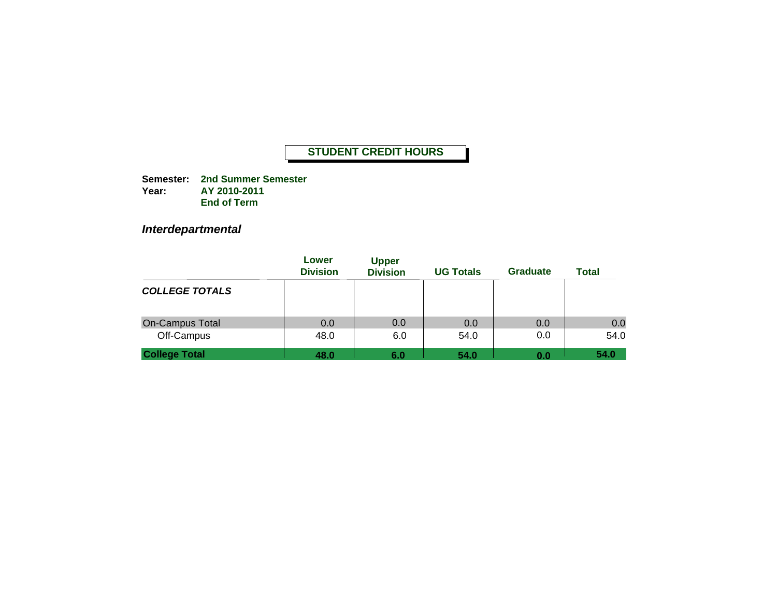**Semester: 2nd Summer Semester Year: AY 2010-2011 End of Term**

*Interdepartmental*

|                                      | Lower<br><b>Division</b> | <b>Upper</b><br><b>Division</b> | <b>UG Totals</b> | <b>Graduate</b> | <b>Total</b> |
|--------------------------------------|--------------------------|---------------------------------|------------------|-----------------|--------------|
| <b>COLLEGE TOTALS</b>                |                          |                                 |                  |                 |              |
| <b>On-Campus Total</b><br>Off-Campus | 0.0<br>48.0              | 0.0<br>6.0                      | 0.0<br>54.0      | 0.0<br>0.0      | 0.0<br>54.0  |
| <b>College Total</b>                 | 48.0                     | 6.0                             | 54.0             | 0.0             | 54.0         |